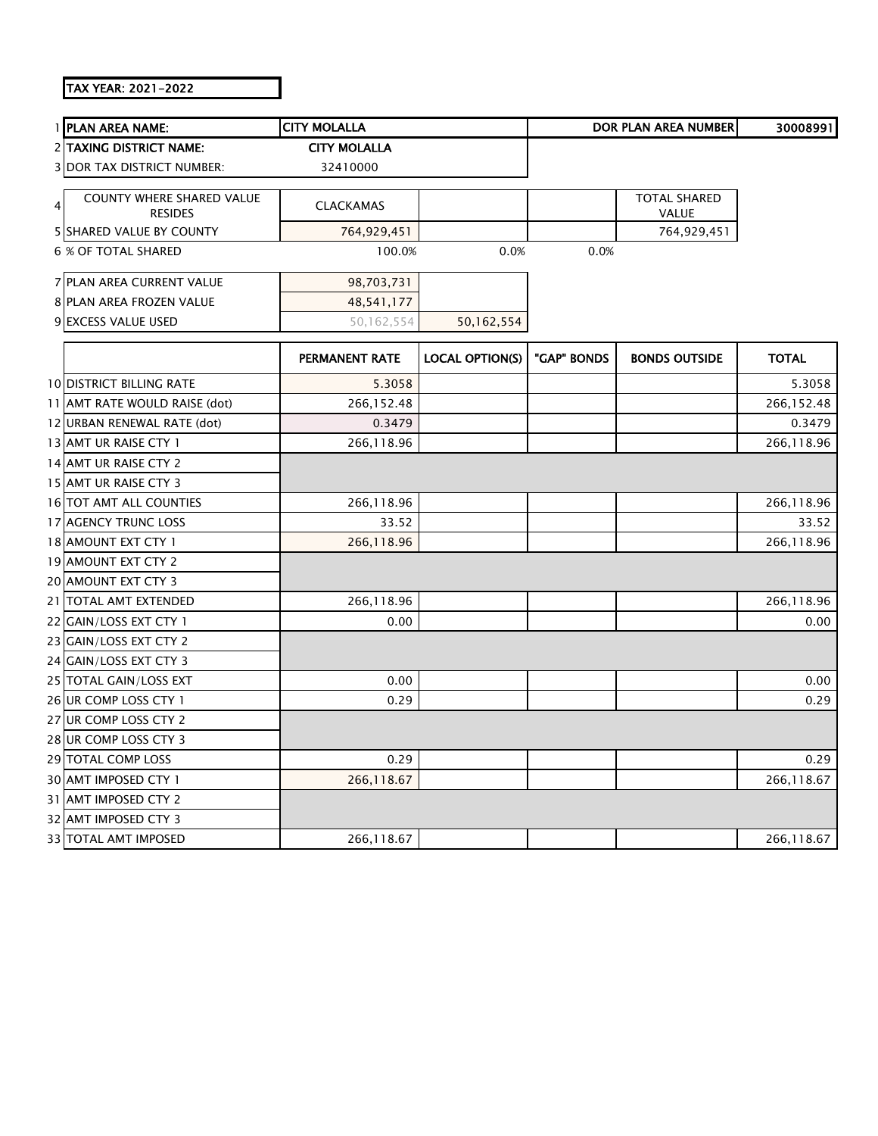## TAX YEAR: 2021-2022

|   | 1 PLAN AREA NAME:                                  | <b>CITY MOLALLA</b>   |                        |             | DOR PLAN AREA NUMBER                | 30008991     |
|---|----------------------------------------------------|-----------------------|------------------------|-------------|-------------------------------------|--------------|
|   | <b>2 TAXING DISTRICT NAME:</b>                     | <b>CITY MOLALLA</b>   |                        |             |                                     |              |
|   | <b>3 DOR TAX DISTRICT NUMBER:</b>                  | 32410000              |                        |             |                                     |              |
|   |                                                    |                       |                        |             |                                     |              |
| 4 | <b>COUNTY WHERE SHARED VALUE</b><br><b>RESIDES</b> | <b>CLACKAMAS</b>      |                        |             | <b>TOTAL SHARED</b><br><b>VALUE</b> |              |
|   | 5 SHARED VALUE BY COUNTY                           | 764,929,451           |                        |             | 764,929,451                         |              |
|   | 6 % OF TOTAL SHARED                                | 100.0%                | 0.0%                   | 0.0%        |                                     |              |
|   |                                                    |                       |                        |             |                                     |              |
|   | 7 PLAN AREA CURRENT VALUE                          | 98,703,731            |                        |             |                                     |              |
|   | <b>8 PLAN AREA FROZEN VALUE</b>                    | 48,541,177            |                        |             |                                     |              |
|   | 9 EXCESS VALUE USED                                | 50,162,554            | 50,162,554             |             |                                     |              |
|   |                                                    | <b>PERMANENT RATE</b> | <b>LOCAL OPTION(S)</b> | "GAP" BONDS | <b>BONDS OUTSIDE</b>                | <b>TOTAL</b> |
|   | <b>10 DISTRICT BILLING RATE</b>                    | 5.3058                |                        |             |                                     | 5.3058       |
|   | 11 AMT RATE WOULD RAISE (dot)                      | 266,152.48            |                        |             |                                     | 266,152.48   |
|   | 12 URBAN RENEWAL RATE (dot)                        | 0.3479                |                        |             |                                     | 0.3479       |
|   | 13 AMT UR RAISE CTY 1                              | 266,118.96            |                        |             |                                     | 266,118.96   |
|   | 14 AMT UR RAISE CTY 2                              |                       |                        |             |                                     |              |
|   | 15 AMT UR RAISE CTY 3                              |                       |                        |             |                                     |              |
|   | 16 TOT AMT ALL COUNTIES                            | 266,118.96            |                        |             |                                     | 266,118.96   |
|   | 17 AGENCY TRUNC LOSS                               | 33.52                 |                        |             |                                     | 33.52        |
|   | 18 AMOUNT EXT CTY 1                                | 266,118.96            |                        |             |                                     | 266,118.96   |
|   | 19 AMOUNT EXT CTY 2                                |                       |                        |             |                                     |              |
|   | 20 AMOUNT EXT CTY 3                                |                       |                        |             |                                     |              |
|   | 21 TOTAL AMT EXTENDED                              | 266,118.96            |                        |             |                                     | 266,118.96   |
|   | 22 GAIN/LOSS EXT CTY 1                             | 0.00                  |                        |             |                                     | 0.00         |
|   | 23 GAIN/LOSS EXT CTY 2                             |                       |                        |             |                                     |              |
|   | 24 GAIN/LOSS EXT CTY 3                             |                       |                        |             |                                     |              |
|   | 25 TOTAL GAIN/LOSS EXT                             | 0.00                  |                        |             |                                     | 0.00         |
|   | 26 UR COMP LOSS CTY 1                              | 0.29                  |                        |             |                                     | 0.29         |
|   | 27 UR COMP LOSS CTY 2                              |                       |                        |             |                                     |              |
|   | 28 UR COMP LOSS CTY 3                              |                       |                        |             |                                     |              |
|   | 29 TOTAL COMP LOSS                                 | 0.29                  |                        |             |                                     | 0.29         |
|   | 30 AMT IMPOSED CTY 1                               | 266,118.67            |                        |             |                                     | 266,118.67   |
|   | 31 AMT IMPOSED CTY 2                               |                       |                        |             |                                     |              |
|   | 32 AMT IMPOSED CTY 3                               |                       |                        |             |                                     |              |
|   | 33 TOTAL AMT IMPOSED                               | 266,118.67            |                        |             |                                     | 266,118.67   |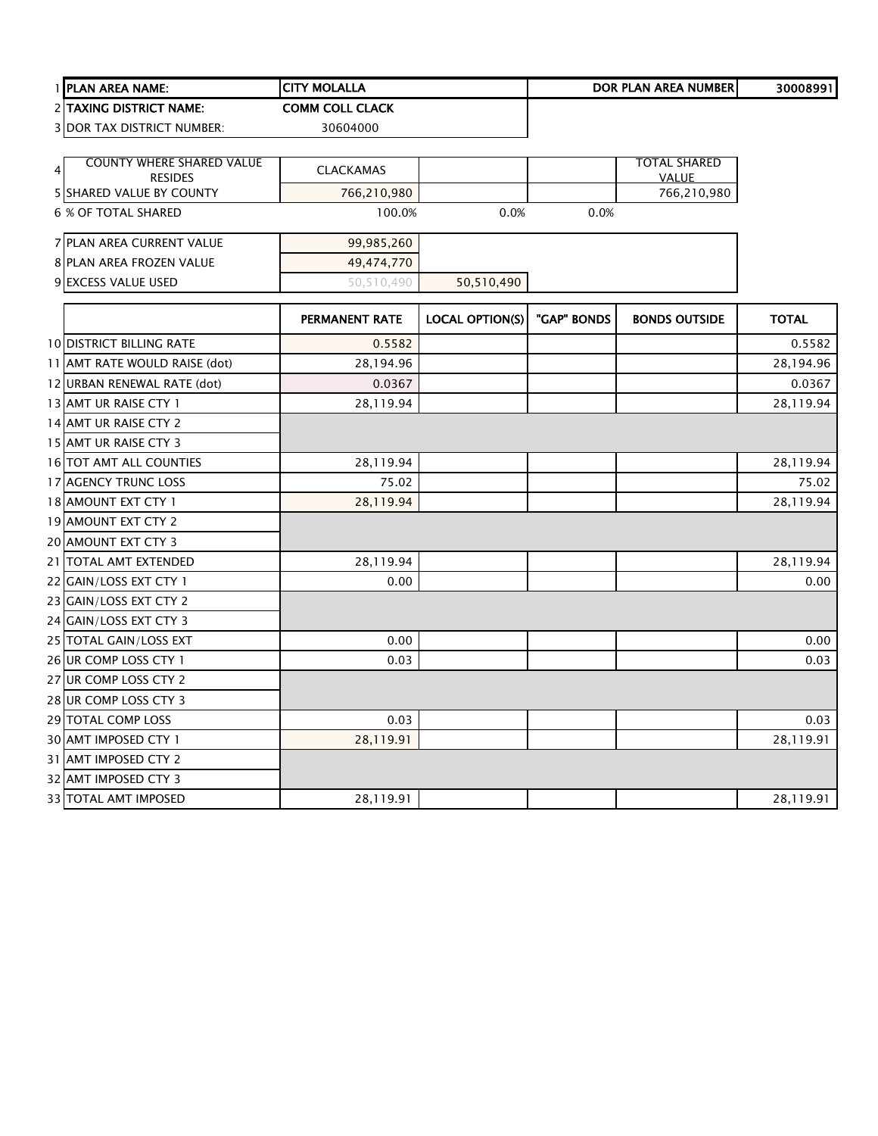|               | 1 PLAN AREA NAME:                                 | <b>CITY MOLALLA</b>    |                        |             | DOR PLAN AREA NUMBER | 30008991     |
|---------------|---------------------------------------------------|------------------------|------------------------|-------------|----------------------|--------------|
|               | 2 TAXING DISTRICT NAME:                           | <b>COMM COLL CLACK</b> |                        |             |                      |              |
|               | 3 DOR TAX DISTRICT NUMBER:                        | 30604000               |                        |             |                      |              |
|               |                                                   |                        |                        |             |                      |              |
| $\frac{4}{ }$ | <b>COUNTY WHERE SHARED VALUE</b>                  | <b>CLACKAMAS</b>       |                        |             | <b>TOTAL SHARED</b>  |              |
|               | <b>RESIDES</b><br><b>5 SHARED VALUE BY COUNTY</b> | 766,210,980            |                        |             | VALUE<br>766,210,980 |              |
|               | 6 % OF TOTAL SHARED                               | 100.0%                 | 0.0%                   | 0.0%        |                      |              |
|               |                                                   |                        |                        |             |                      |              |
|               | 7 PLAN AREA CURRENT VALUE                         | 99,985,260             |                        |             |                      |              |
|               | 8 PLAN AREA FROZEN VALUE                          | 49,474,770             |                        |             |                      |              |
|               | 9 EXCESS VALUE USED                               | 50,510,490             | 50,510,490             |             |                      |              |
|               |                                                   |                        |                        |             |                      |              |
|               |                                                   | PERMANENT RATE         | <b>LOCAL OPTION(S)</b> | "GAP" BONDS | <b>BONDS OUTSIDE</b> | <b>TOTAL</b> |
|               | <b>10 DISTRICT BILLING RATE</b>                   | 0.5582                 |                        |             |                      | 0.5582       |
|               | 11 AMT RATE WOULD RAISE (dot)                     | 28,194.96              |                        |             |                      | 28,194.96    |
|               | 12 URBAN RENEWAL RATE (dot)                       | 0.0367                 |                        |             |                      | 0.0367       |
|               | 13 AMT UR RAISE CTY 1                             | 28,119.94              |                        |             |                      | 28,119.94    |
|               | 14 AMT UR RAISE CTY 2                             |                        |                        |             |                      |              |
|               | 15 AMT UR RAISE CTY 3                             |                        |                        |             |                      |              |
|               | 16 TOT AMT ALL COUNTIES                           | 28,119.94              |                        |             |                      | 28,119.94    |
|               | 17 AGENCY TRUNC LOSS                              | 75.02                  |                        |             |                      | 75.02        |
|               | 18 AMOUNT EXT CTY 1                               | 28,119.94              |                        |             |                      | 28,119.94    |
|               | 19 AMOUNT EXT CTY 2                               |                        |                        |             |                      |              |
|               | 20 AMOUNT EXT CTY 3                               |                        |                        |             |                      |              |
|               | 21 TOTAL AMT EXTENDED                             | 28,119.94              |                        |             |                      | 28,119.94    |
|               | 22 GAIN/LOSS EXT CTY 1                            | 0.00                   |                        |             |                      | 0.00         |
|               | 23 GAIN/LOSS EXT CTY 2                            |                        |                        |             |                      |              |
|               | 24 GAIN/LOSS EXT CTY 3                            |                        |                        |             |                      |              |
|               | 25 TOTAL GAIN/LOSS EXT                            | 0.00                   |                        |             |                      | 0.00         |
|               | 26 UR COMP LOSS CTY 1                             | 0.03                   |                        |             |                      | 0.03         |
|               | 27 UR COMP LOSS CTY 2                             |                        |                        |             |                      |              |
|               | 28 UR COMP LOSS CTY 3                             |                        |                        |             |                      |              |
|               | 29 TOTAL COMP LOSS                                | 0.03                   |                        |             |                      | 0.03         |
|               | 30 AMT IMPOSED CTY 1                              | 28,119.91              |                        |             |                      | 28,119.91    |
|               | 31 AMT IMPOSED CTY 2                              |                        |                        |             |                      |              |
|               | 32 AMT IMPOSED CTY 3                              |                        |                        |             |                      |              |
|               | <b>33 TOTAL AMT IMPOSED</b>                       | 28,119.91              |                        |             |                      | 28,119.91    |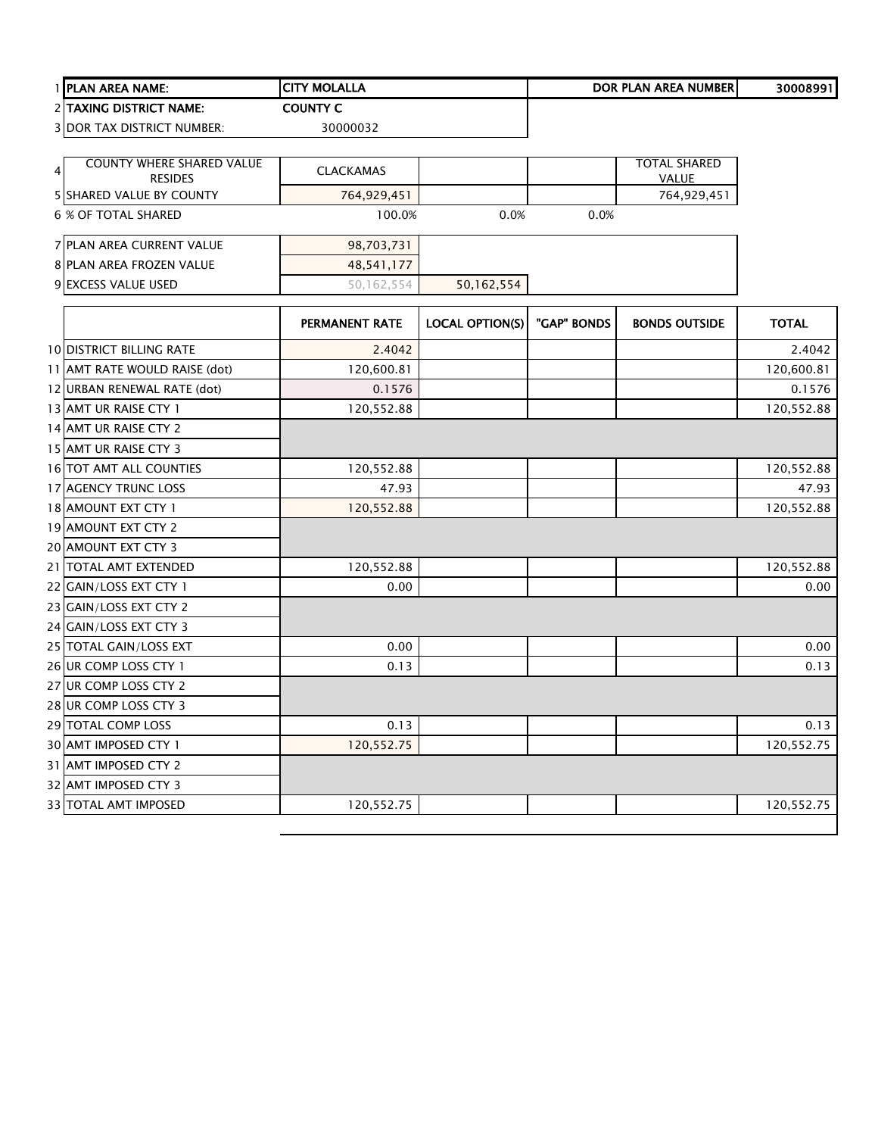|   | PLAN AREA NAME:                            | <b>CITY MOLALLA</b> |                        |             | <b>DOR PLAN AREA NUMBER</b> | 30008991     |
|---|--------------------------------------------|---------------------|------------------------|-------------|-----------------------------|--------------|
|   | 2 TAXING DISTRICT NAME:                    | <b>COUNTY C</b>     |                        |             |                             |              |
|   | <b>3 DOR TAX DISTRICT NUMBER:</b>          | 30000032            |                        |             |                             |              |
|   |                                            |                     |                        |             |                             |              |
| 4 | COUNTY WHERE SHARED VALUE                  | <b>CLACKAMAS</b>    |                        |             | <b>TOTAL SHARED</b>         |              |
|   | <b>RESIDES</b><br>5 SHARED VALUE BY COUNTY | 764,929,451         |                        |             | <b>VALUE</b><br>764,929,451 |              |
|   | <b>6 % OF TOTAL SHARED</b>                 | 100.0%              | 0.0%                   | 0.0%        |                             |              |
|   |                                            |                     |                        |             |                             |              |
|   | <b>7 PLAN AREA CURRENT VALUE</b>           | 98,703,731          |                        |             |                             |              |
|   | 8 PLAN AREA FROZEN VALUE                   | 48,541,177          |                        |             |                             |              |
|   | 9 EXCESS VALUE USED                        | 50,162,554          | 50,162,554             |             |                             |              |
|   |                                            |                     |                        |             |                             |              |
|   |                                            | PERMANENT RATE      | <b>LOCAL OPTION(S)</b> | "GAP" BONDS | <b>BONDS OUTSIDE</b>        | <b>TOTAL</b> |
|   | <b>10 DISTRICT BILLING RATE</b>            | 2.4042              |                        |             |                             | 2.4042       |
|   | 11 AMT RATE WOULD RAISE (dot)              | 120,600.81          |                        |             |                             | 120,600.81   |
|   | 12 URBAN RENEWAL RATE (dot)                | 0.1576              |                        |             |                             | 0.1576       |
|   | 13 AMT UR RAISE CTY 1                      | 120,552.88          |                        |             |                             | 120,552.88   |
|   | 14 AMT UR RAISE CTY 2                      |                     |                        |             |                             |              |
|   | 15 AMT UR RAISE CTY 3                      |                     |                        |             |                             |              |
|   | 16 TOT AMT ALL COUNTIES                    | 120,552.88          |                        |             |                             | 120,552.88   |
|   | 17 AGENCY TRUNC LOSS                       | 47.93               |                        |             |                             | 47.93        |
|   | 18 AMOUNT EXT CTY 1                        | 120,552.88          |                        |             |                             | 120,552.88   |
|   | 19 AMOUNT EXT CTY 2                        |                     |                        |             |                             |              |
|   | 20 AMOUNT EXT CTY 3                        |                     |                        |             |                             |              |
|   | 21   TOTAL AMT EXTENDED                    | 120,552.88          |                        |             |                             | 120,552.88   |
|   | 22 GAIN/LOSS EXT CTY 1                     | 0.00                |                        |             |                             | 0.00         |
|   | 23 GAIN/LOSS EXT CTY 2                     |                     |                        |             |                             |              |
|   | 24 GAIN/LOSS EXT CTY 3                     |                     |                        |             |                             |              |
|   | 25 TOTAL GAIN/LOSS EXT                     | 0.00                |                        |             |                             | 0.00         |
|   | 26 UR COMP LOSS CTY 1                      | 0.13                |                        |             |                             | 0.13         |
|   | 27 UR COMP LOSS CTY 2                      |                     |                        |             |                             |              |
|   | 28 UR COMP LOSS CTY 3                      |                     |                        |             |                             |              |
|   | 29 TOTAL COMP LOSS                         | 0.13                |                        |             |                             | 0.13         |
|   | 30 AMT IMPOSED CTY 1                       | 120,552.75          |                        |             |                             | 120,552.75   |
|   | 31 AMT IMPOSED CTY 2                       |                     |                        |             |                             |              |
|   | 32 AMT IMPOSED CTY 3                       |                     |                        |             |                             |              |
|   | <b>33 TOTAL AMT IMPOSED</b>                | 120,552.75          |                        |             |                             | 120,552.75   |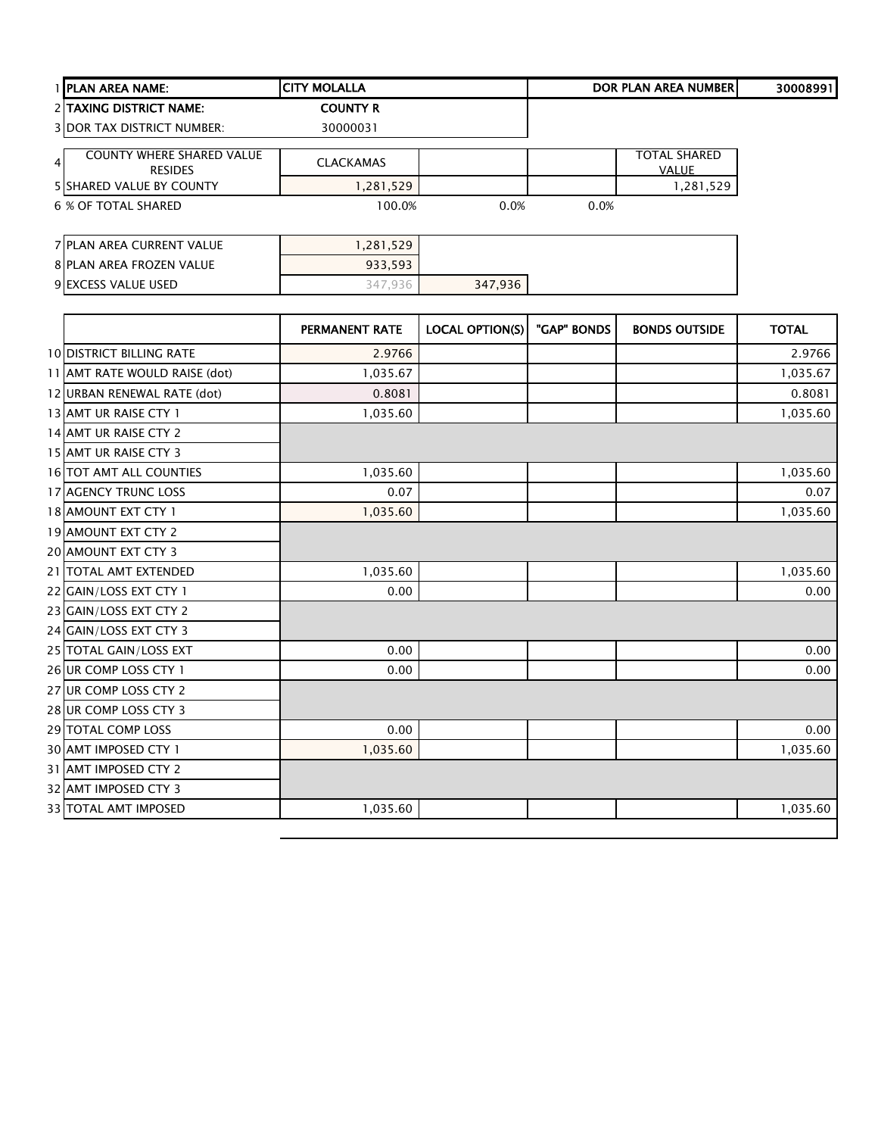| <b>I PLAN AREA NAME:</b>                                             | <b>ICITY MOLALLA</b> |      |      | <b>DOR PLAN AREA NUMBERI</b> | 30008991 |
|----------------------------------------------------------------------|----------------------|------|------|------------------------------|----------|
| 2 TAXING DISTRICT NAME:                                              | <b>COUNTY R</b>      |      |      |                              |          |
| <b>3 DOR TAX DISTRICT NUMBER:</b>                                    | 30000031             |      |      |                              |          |
| <b>COUNTY WHERE SHARED VALUE</b><br>4 <sup>1</sup><br><b>RESIDES</b> | <b>CLACKAMAS</b>     |      |      | <b>TOTAL SHARED</b><br>VALUE |          |
| <b>5 SHARED VALUE BY COUNTY</b>                                      | 1,281,529            |      |      | 1,281,529                    |          |
| 6 % OF TOTAL SHARED                                                  | 100.0%               | 0.0% | 0.0% |                              |          |
|                                                                      |                      |      |      |                              |          |
| 7 PLAN AREA CURRENT VALUE                                            | 1,281,529            |      |      |                              |          |
| <b>8 PLAN AREA FROZEN VALUE</b>                                      | 933,593              |      |      |                              |          |

**EXCESS VALUE USED** 347,936 347,936

|                                 | <b>PERMANENT RATE</b> | <b>LOCAL OPTION(S)</b> | "GAP" BONDS | <b>BONDS OUTSIDE</b> | <b>TOTAL</b> |
|---------------------------------|-----------------------|------------------------|-------------|----------------------|--------------|
| <b>10 DISTRICT BILLING RATE</b> | 2.9766                |                        |             |                      | 2.9766       |
| 11 AMT RATE WOULD RAISE (dot)   | 1,035.67              |                        |             |                      | 1,035.67     |
| 12 URBAN RENEWAL RATE (dot)     | 0.8081                |                        |             |                      | 0.8081       |
| 13 AMT UR RAISE CTY 1           | 1,035.60              |                        |             |                      | 1,035.60     |
| 14 AMT UR RAISE CTY 2           |                       |                        |             |                      |              |
| 15 AMT UR RAISE CTY 3           |                       |                        |             |                      |              |
| <b>16 TOT AMT ALL COUNTIES</b>  | 1,035.60              |                        |             |                      | 1,035.60     |
| 17 AGENCY TRUNC LOSS            | 0.07                  |                        |             |                      | 0.07         |
| 18 AMOUNT EXT CTY 1             | 1,035.60              |                        |             |                      | 1,035.60     |
| 19 AMOUNT EXT CTY 2             |                       |                        |             |                      |              |
| <b>20 AMOUNT EXT CTY 3</b>      |                       |                        |             |                      |              |
| 21 TOTAL AMT EXTENDED           | 1,035.60              |                        |             |                      | 1,035.60     |
| 22 GAIN/LOSS EXT CTY 1          | 0.00                  |                        |             |                      | 0.00         |
| 23 GAIN/LOSS EXT CTY 2          |                       |                        |             |                      |              |
| 24 GAIN/LOSS EXT CTY 3          |                       |                        |             |                      |              |
| 25 TOTAL GAIN/LOSS EXT          | 0.00                  |                        |             |                      | 0.00         |
| 26 UR COMP LOSS CTY 1           | 0.00                  |                        |             |                      | 0.00         |
| 27 UR COMP LOSS CTY 2           |                       |                        |             |                      |              |
| 28 UR COMP LOSS CTY 3           |                       |                        |             |                      |              |
| 29 TOTAL COMP LOSS              | 0.00                  |                        |             |                      | 0.00         |
| 30 AMT IMPOSED CTY 1            | 1,035.60              |                        |             |                      | 1,035.60     |
| 31 AMT IMPOSED CTY 2            |                       |                        |             |                      |              |
| 32 AMT IMPOSED CTY 3            |                       |                        |             |                      |              |
| <b>33 TOTAL AMT IMPOSED</b>     | 1,035.60              |                        |             |                      | 1,035.60     |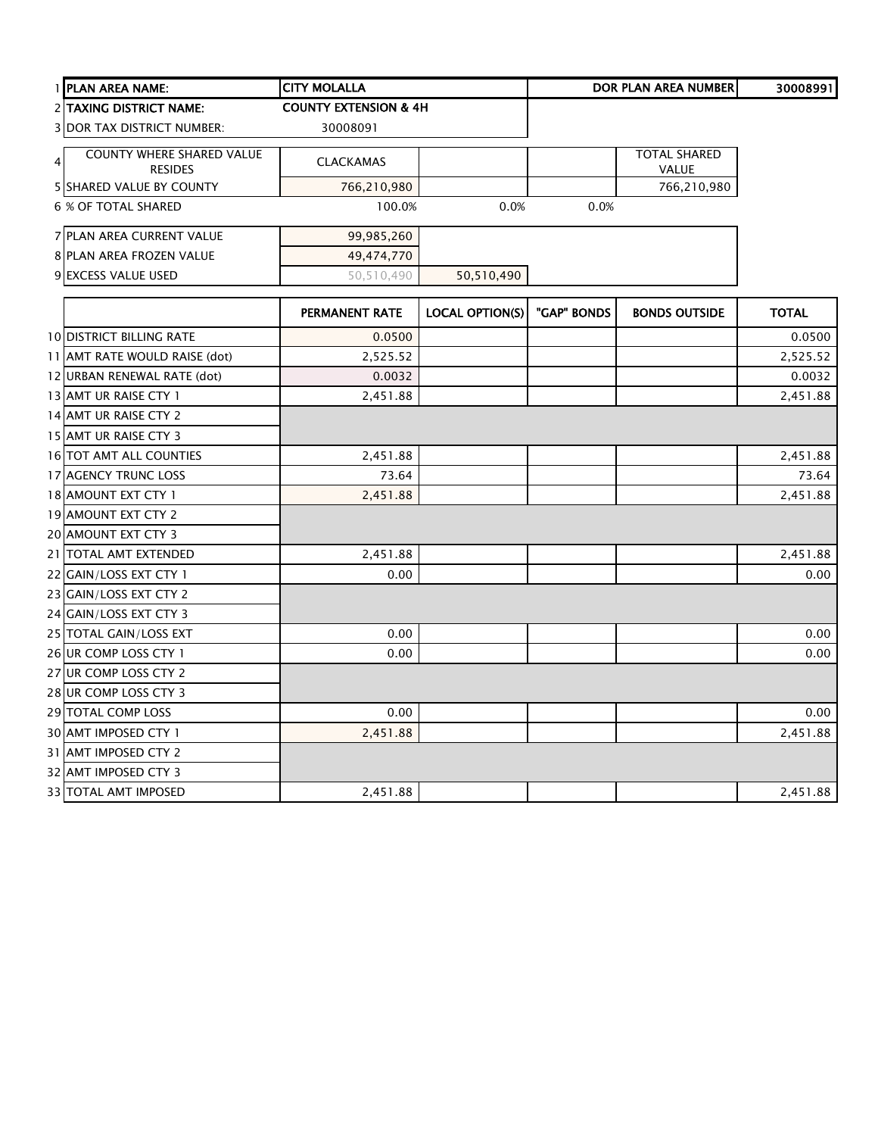| 1 PLAN AREA NAME:                 | <b>CITY MOLALLA</b>              |                        |             | <b>DOR PLAN AREA NUMBER</b> | 30008991     |
|-----------------------------------|----------------------------------|------------------------|-------------|-----------------------------|--------------|
| 2 TAXING DISTRICT NAME:           | <b>COUNTY EXTENSION &amp; 4H</b> |                        |             |                             |              |
| <b>3 DOR TAX DISTRICT NUMBER:</b> | 30008091                         |                        |             |                             |              |
| <b>COUNTY WHERE SHARED VALUE</b>  |                                  |                        |             | <b>TOTAL SHARED</b>         |              |
| $\overline{4}$<br><b>RESIDES</b>  | <b>CLACKAMAS</b>                 |                        |             | VALUE                       |              |
| <b>5 SHARED VALUE BY COUNTY</b>   | 766,210,980                      |                        |             | 766,210,980                 |              |
| <b>6 % OF TOTAL SHARED</b>        | 100.0%                           | 0.0%                   | 0.0%        |                             |              |
| 7 PLAN AREA CURRENT VALUE         | 99,985,260                       |                        |             |                             |              |
| 8 PLAN AREA FROZEN VALUE          | 49,474,770                       |                        |             |                             |              |
| 9 EXCESS VALUE USED               | 50,510,490                       | 50,510,490             |             |                             |              |
|                                   | PERMANENT RATE                   | <b>LOCAL OPTION(S)</b> | "GAP" BONDS | <b>BONDS OUTSIDE</b>        | <b>TOTAL</b> |
| <b>10 DISTRICT BILLING RATE</b>   | 0.0500                           |                        |             |                             | 0.0500       |
| 11 AMT RATE WOULD RAISE (dot)     | 2,525.52                         |                        |             |                             | 2,525.52     |
| 12 URBAN RENEWAL RATE (dot)       | 0.0032                           |                        |             |                             | 0.0032       |
| 13 AMT UR RAISE CTY 1             | 2,451.88                         |                        |             |                             | 2,451.88     |
| 14 AMT UR RAISE CTY 2             |                                  |                        |             |                             |              |
| 15 AMT UR RAISE CTY 3             |                                  |                        |             |                             |              |
| 16 TOT AMT ALL COUNTIES           | 2,451.88                         |                        |             |                             | 2,451.88     |
| 17 AGENCY TRUNC LOSS              | 73.64                            |                        |             |                             | 73.64        |
| 18 AMOUNT EXT CTY 1               | 2,451.88                         |                        |             |                             | 2,451.88     |
| 19 AMOUNT EXT CTY 2               |                                  |                        |             |                             |              |
| 20 AMOUNT EXT CTY 3               |                                  |                        |             |                             |              |
| 21   TOTAL AMT EXTENDED           | 2,451.88                         |                        |             |                             | 2,451.88     |
| 22 GAIN/LOSS EXT CTY 1            | 0.00                             |                        |             |                             | 0.00         |
| 23 GAIN/LOSS EXT CTY 2            |                                  |                        |             |                             |              |
| 24 GAIN/LOSS EXT CTY 3            |                                  |                        |             |                             |              |
| 25 TOTAL GAIN/LOSS EXT            | 0.00                             |                        |             |                             | 0.00         |
| 26 UR COMP LOSS CTY 1             | 0.00                             |                        |             |                             | 0.00         |
| 27 UR COMP LOSS CTY 2             |                                  |                        |             |                             |              |
| 28 UR COMP LOSS CTY 3             |                                  |                        |             |                             |              |
| 29 TOTAL COMP LOSS                | 0.00                             |                        |             |                             | 0.00         |
| 30 AMT IMPOSED CTY 1              | 2,451.88                         |                        |             |                             | 2,451.88     |
| 31 AMT IMPOSED CTY 2              |                                  |                        |             |                             |              |
| 32 AMT IMPOSED CTY 3              |                                  |                        |             |                             |              |
| 33 TOTAL AMT IMPOSED              | 2,451.88                         |                        |             |                             | 2,451.88     |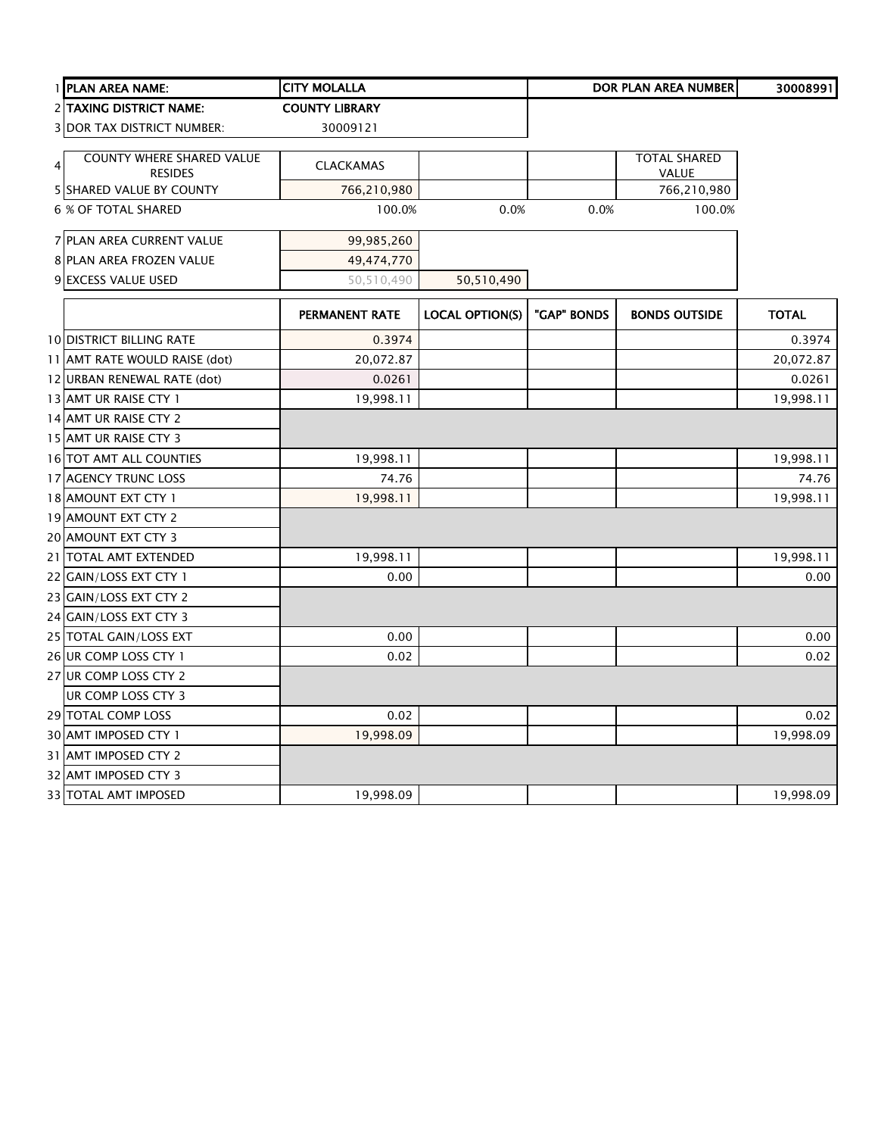|   | 1 PLAN AREA NAME:                                  | <b>CITY MOLALLA</b>   |                        |             | DOR PLAN AREA NUMBER         | 30008991     |
|---|----------------------------------------------------|-----------------------|------------------------|-------------|------------------------------|--------------|
|   | 2 TAXING DISTRICT NAME:                            | <b>COUNTY LIBRARY</b> |                        |             |                              |              |
|   | <b>3 DOR TAX DISTRICT NUMBER:</b>                  | 30009121              |                        |             |                              |              |
| 4 | <b>COUNTY WHERE SHARED VALUE</b><br><b>RESIDES</b> | <b>CLACKAMAS</b>      |                        |             | <b>TOTAL SHARED</b><br>VALUE |              |
|   | <b>5 SHARED VALUE BY COUNTY</b>                    | 766,210,980           |                        |             | 766,210,980                  |              |
|   | <b>6 % OF TOTAL SHARED</b>                         | 100.0%                | 0.0%                   | 0.0%        | 100.0%                       |              |
|   | 7 PLAN AREA CURRENT VALUE                          | 99,985,260            |                        |             |                              |              |
|   | 8 PLAN AREA FROZEN VALUE                           | 49,474,770            |                        |             |                              |              |
|   | 9 EXCESS VALUE USED                                | 50,510,490            | 50,510,490             |             |                              |              |
|   |                                                    | PERMANENT RATE        | <b>LOCAL OPTION(S)</b> | "GAP" BONDS | <b>BONDS OUTSIDE</b>         | <b>TOTAL</b> |
|   | <b>10 DISTRICT BILLING RATE</b>                    | 0.3974                |                        |             |                              | 0.3974       |
|   | 11 AMT RATE WOULD RAISE (dot)                      | 20,072.87             |                        |             |                              | 20,072.87    |
|   | 12 URBAN RENEWAL RATE (dot)                        | 0.0261                |                        |             |                              | 0.0261       |
|   | 13 AMT UR RAISE CTY 1                              | 19,998.11             |                        |             |                              | 19,998.11    |
|   | 14 AMT UR RAISE CTY 2                              |                       |                        |             |                              |              |
|   | 15 AMT UR RAISE CTY 3                              |                       |                        |             |                              |              |
|   | 16 TOT AMT ALL COUNTIES                            | 19,998.11             |                        |             |                              | 19,998.11    |
|   | 17 AGENCY TRUNC LOSS                               | 74.76                 |                        |             |                              | 74.76        |
|   | 18 AMOUNT EXT CTY 1                                | 19,998.11             |                        |             |                              | 19,998.11    |
|   | 19 AMOUNT EXT CTY 2                                |                       |                        |             |                              |              |
|   | 20 AMOUNT EXT CTY 3                                |                       |                        |             |                              |              |
|   | 21 TOTAL AMT EXTENDED                              | 19,998.11             |                        |             |                              | 19,998.11    |
|   | 22 GAIN/LOSS EXT CTY 1                             | 0.00                  |                        |             |                              | 0.00         |
|   | 23 GAIN/LOSS EXT CTY 2                             |                       |                        |             |                              |              |
|   | 24 GAIN/LOSS EXT CTY 3                             |                       |                        |             |                              |              |
|   | 25 TOTAL GAIN/LOSS EXT                             | 0.00                  |                        |             |                              | 0.00         |
|   | 26 UR COMP LOSS CTY 1                              | 0.02                  |                        |             |                              | 0.02         |
|   | 27 UR COMP LOSS CTY 2                              |                       |                        |             |                              |              |
|   | UR COMP LOSS CTY 3                                 |                       |                        |             |                              |              |
|   | 29 TOTAL COMP LOSS                                 | 0.02                  |                        |             |                              | 0.02         |
|   | 30 AMT IMPOSED CTY 1                               | 19,998.09             |                        |             |                              | 19,998.09    |
|   | 31 AMT IMPOSED CTY 2                               |                       |                        |             |                              |              |
|   | 32 AMT IMPOSED CTY 3                               |                       |                        |             |                              |              |
|   | 33 TOTAL AMT IMPOSED                               | 19,998.09             |                        |             |                              | 19,998.09    |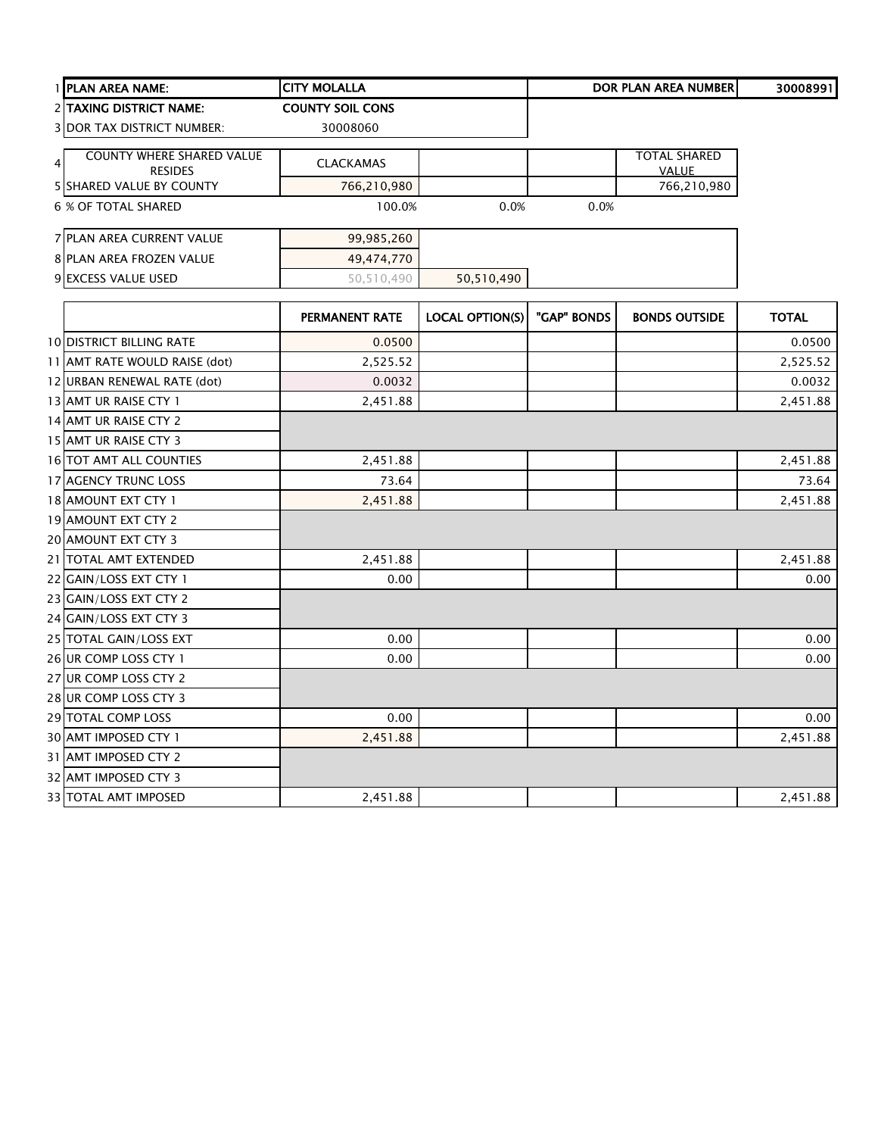| 1 PLAN AREA NAME:                 | <b>CITY MOLALLA</b>     |                        |             | <b>DOR PLAN AREA NUMBER</b> | 30008991     |
|-----------------------------------|-------------------------|------------------------|-------------|-----------------------------|--------------|
| 2 TAXING DISTRICT NAME:           | <b>COUNTY SOIL CONS</b> |                        |             |                             |              |
| <b>3 DOR TAX DISTRICT NUMBER:</b> | 30008060                |                        |             |                             |              |
| <b>COUNTY WHERE SHARED VALUE</b>  |                         |                        |             | <b>TOTAL SHARED</b>         |              |
| 4<br><b>RESIDES</b>               | <b>CLACKAMAS</b>        |                        |             | VALUE                       |              |
| 5 SHARED VALUE BY COUNTY          | 766,210,980             |                        |             | 766,210,980                 |              |
| 6 % OF TOTAL SHARED               | 100.0%                  | 0.0%                   | 0.0%        |                             |              |
| 7 PLAN AREA CURRENT VALUE         | 99,985,260              |                        |             |                             |              |
| 8 PLAN AREA FROZEN VALUE          | 49,474,770              |                        |             |                             |              |
| 9 EXCESS VALUE USED               | 50,510,490              | 50,510,490             |             |                             |              |
|                                   | <b>PERMANENT RATE</b>   | <b>LOCAL OPTION(S)</b> | "GAP" BONDS | <b>BONDS OUTSIDE</b>        | <b>TOTAL</b> |
| <b>10 DISTRICT BILLING RATE</b>   | 0.0500                  |                        |             |                             | 0.0500       |
| 11 AMT RATE WOULD RAISE (dot)     | 2,525.52                |                        |             |                             | 2,525.52     |
| 12 URBAN RENEWAL RATE (dot)       | 0.0032                  |                        |             |                             | 0.0032       |
| 13 AMT UR RAISE CTY 1             | 2,451.88                |                        |             |                             | 2,451.88     |
| 14 AMT UR RAISE CTY 2             |                         |                        |             |                             |              |
| 15 AMT UR RAISE CTY 3             |                         |                        |             |                             |              |
| 16 TOT AMT ALL COUNTIES           | 2,451.88                |                        |             |                             | 2,451.88     |
| 17 AGENCY TRUNC LOSS              | 73.64                   |                        |             |                             | 73.64        |
| 18 AMOUNT EXT CTY 1               | 2,451.88                |                        |             |                             | 2,451.88     |
| 19 AMOUNT EXT CTY 2               |                         |                        |             |                             |              |
| 20 AMOUNT EXT CTY 3               |                         |                        |             |                             |              |
| 21 TOTAL AMT EXTENDED             | 2,451.88                |                        |             |                             | 2,451.88     |
| 22 GAIN/LOSS EXT CTY 1            | 0.00                    |                        |             |                             | 0.00         |
| 23 GAIN/LOSS EXT CTY 2            |                         |                        |             |                             |              |
| 24 GAIN/LOSS EXT CTY 3            |                         |                        |             |                             |              |
| 25 TOTAL GAIN/LOSS EXT            | 0.00                    |                        |             |                             | 0.00         |
| 26 UR COMP LOSS CTY 1             | 0.00                    |                        |             |                             | 0.00         |
| 27 UR COMP LOSS CTY 2             |                         |                        |             |                             |              |
| 28 UR COMP LOSS CTY 3             |                         |                        |             |                             |              |
| 29 TOTAL COMP LOSS                | 0.00                    |                        |             |                             | 0.00         |
| 30 AMT IMPOSED CTY 1              | 2,451.88                |                        |             |                             | 2,451.88     |
| 31 AMT IMPOSED CTY 2              |                         |                        |             |                             |              |
| 32 AMT IMPOSED CTY 3              |                         |                        |             |                             |              |
| 33 TOTAL AMT IMPOSED              | 2,451.88                |                        |             |                             | 2,451.88     |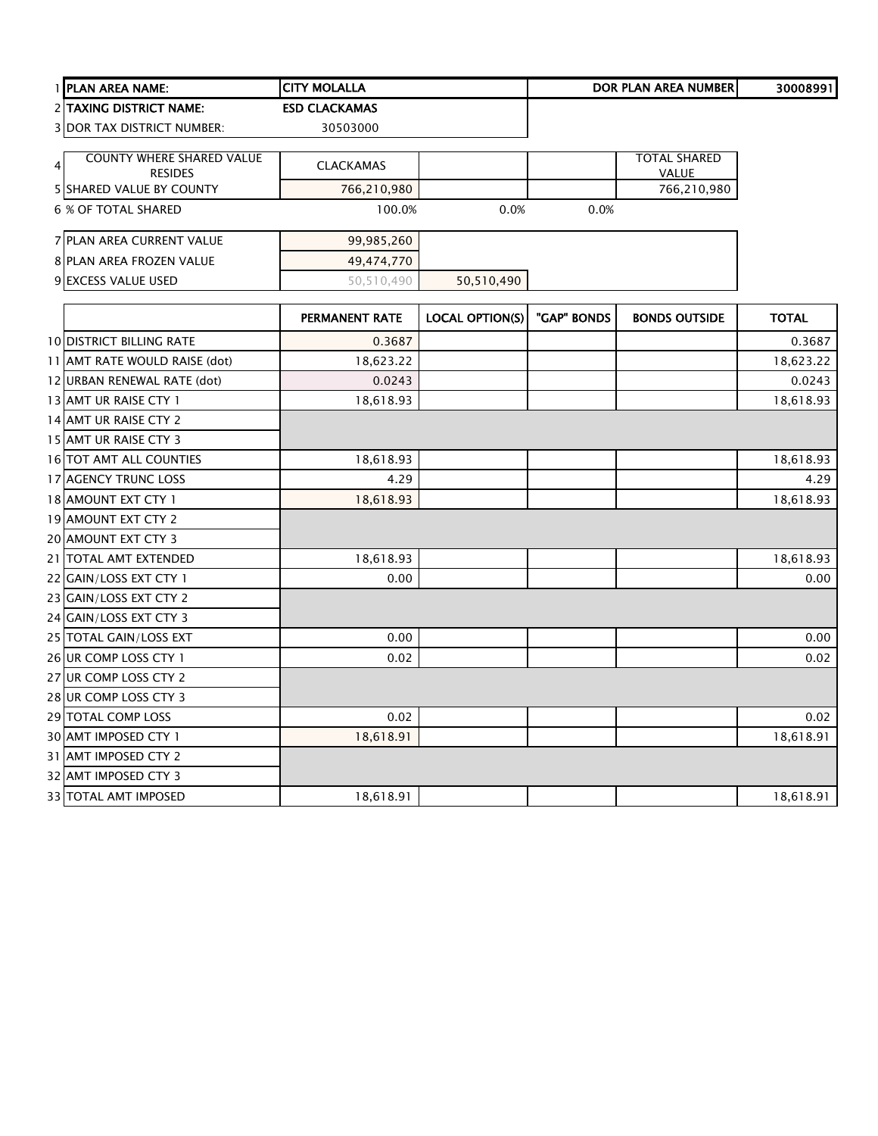|   | 1 PLAN AREA NAME:                 | <b>CITY MOLALLA</b>   |                        |             | <b>DOR PLAN AREA NUMBER</b> | 30008991     |
|---|-----------------------------------|-----------------------|------------------------|-------------|-----------------------------|--------------|
|   | 2 TAXING DISTRICT NAME:           | <b>ESD CLACKAMAS</b>  |                        |             |                             |              |
|   | <b>3 DOR TAX DISTRICT NUMBER:</b> | 30503000              |                        |             |                             |              |
|   | <b>COUNTY WHERE SHARED VALUE</b>  |                       |                        |             | <b>TOTAL SHARED</b>         |              |
| 4 | <b>RESIDES</b>                    | <b>CLACKAMAS</b>      |                        |             | <b>VALUE</b>                |              |
|   | <b>5 SHARED VALUE BY COUNTY</b>   | 766,210,980           |                        |             | 766,210,980                 |              |
|   | <b>6 % OF TOTAL SHARED</b>        | 100.0%                | 0.0%                   | 0.0%        |                             |              |
|   | 7 PLAN AREA CURRENT VALUE         | 99,985,260            |                        |             |                             |              |
|   | 8 PLAN AREA FROZEN VALUE          | 49,474,770            |                        |             |                             |              |
|   | 9 EXCESS VALUE USED               | 50,510,490            | 50,510,490             |             |                             |              |
|   |                                   | <b>PERMANENT RATE</b> | <b>LOCAL OPTION(S)</b> | "GAP" BONDS | <b>BONDS OUTSIDE</b>        | <b>TOTAL</b> |
|   | <b>10 DISTRICT BILLING RATE</b>   | 0.3687                |                        |             |                             | 0.3687       |
|   | 11 AMT RATE WOULD RAISE (dot)     | 18,623.22             |                        |             |                             | 18,623.22    |
|   | 12 URBAN RENEWAL RATE (dot)       | 0.0243                |                        |             |                             | 0.0243       |
|   | 13 AMT UR RAISE CTY 1             | 18,618.93             |                        |             |                             | 18,618.93    |
|   | 14 AMT UR RAISE CTY 2             |                       |                        |             |                             |              |
|   | 15 AMT UR RAISE CTY 3             |                       |                        |             |                             |              |
|   | 16 TOT AMT ALL COUNTIES           | 18,618.93             |                        |             |                             | 18,618.93    |
|   | 17 AGENCY TRUNC LOSS              | 4.29                  |                        |             |                             | 4.29         |
|   | 18 AMOUNT EXT CTY 1               | 18,618.93             |                        |             |                             | 18,618.93    |
|   | 19 AMOUNT EXT CTY 2               |                       |                        |             |                             |              |
|   | 20 AMOUNT EXT CTY 3               |                       |                        |             |                             |              |
|   | 21 TOTAL AMT EXTENDED             | 18,618.93             |                        |             |                             | 18,618.93    |
|   | 22 GAIN/LOSS EXT CTY 1            | 0.00                  |                        |             |                             | 0.00         |
|   | 23 GAIN/LOSS EXT CTY 2            |                       |                        |             |                             |              |
|   | 24 GAIN/LOSS EXT CTY 3            |                       |                        |             |                             |              |
|   | 25 TOTAL GAIN/LOSS EXT            | 0.00                  |                        |             |                             | 0.00         |
|   | 26 UR COMP LOSS CTY 1             | 0.02                  |                        |             |                             | 0.02         |
|   | 27 UR COMP LOSS CTY 2             |                       |                        |             |                             |              |
|   | 28 UR COMP LOSS CTY 3             |                       |                        |             |                             |              |
|   | 29 TOTAL COMP LOSS                | 0.02                  |                        |             |                             | 0.02         |
|   | 30 AMT IMPOSED CTY 1              | 18,618.91             |                        |             |                             | 18,618.91    |
|   | 31 AMT IMPOSED CTY 2              |                       |                        |             |                             |              |
|   | 32 AMT IMPOSED CTY 3              |                       |                        |             |                             |              |
|   | 33 TOTAL AMT IMPOSED              | 18,618.91             |                        |             |                             | 18,618.91    |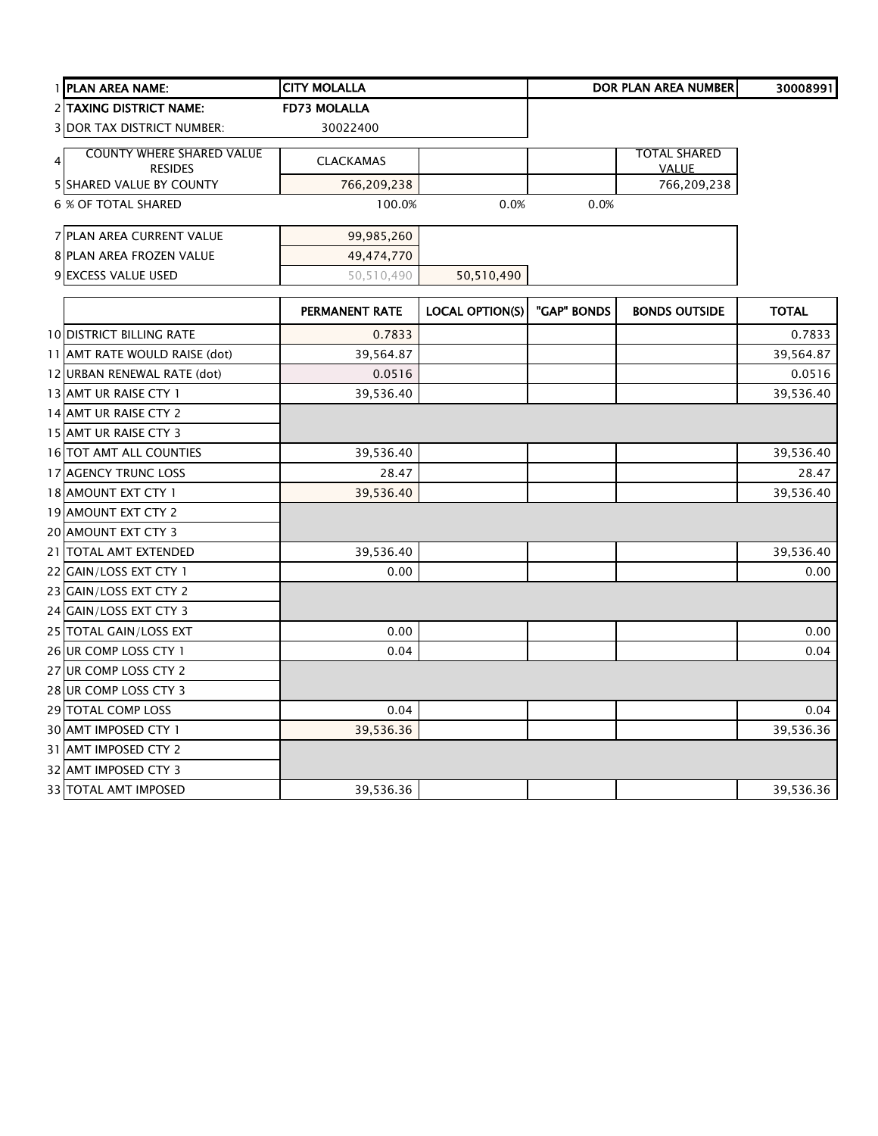| 1 PLAN AREA NAME:                 | <b>CITY MOLALLA</b>   |                        |             | <b>DOR PLAN AREA NUMBER</b> | 30008991     |
|-----------------------------------|-----------------------|------------------------|-------------|-----------------------------|--------------|
| 2 TAXING DISTRICT NAME:           | <b>FD73 MOLALLA</b>   |                        |             |                             |              |
| <b>3 DOR TAX DISTRICT NUMBER:</b> | 30022400              |                        |             |                             |              |
| <b>COUNTY WHERE SHARED VALUE</b>  |                       |                        |             | <b>TOTAL SHARED</b>         |              |
| 4<br><b>RESIDES</b>               | <b>CLACKAMAS</b>      |                        |             | <b>VALUE</b>                |              |
| <b>5 SHARED VALUE BY COUNTY</b>   | 766,209,238           |                        |             | 766,209,238                 |              |
| <b>6 % OF TOTAL SHARED</b>        | 100.0%                | 0.0%                   | 0.0%        |                             |              |
| 7 PLAN AREA CURRENT VALUE         | 99,985,260            |                        |             |                             |              |
| 8 PLAN AREA FROZEN VALUE          | 49,474,770            |                        |             |                             |              |
| 9 EXCESS VALUE USED               | 50,510,490            | 50,510,490             |             |                             |              |
|                                   | <b>PERMANENT RATE</b> | <b>LOCAL OPTION(S)</b> | "GAP" BONDS | <b>BONDS OUTSIDE</b>        | <b>TOTAL</b> |
| <b>10 DISTRICT BILLING RATE</b>   | 0.7833                |                        |             |                             | 0.7833       |
| 11 AMT RATE WOULD RAISE (dot)     | 39,564.87             |                        |             |                             | 39,564.87    |
| 12 URBAN RENEWAL RATE (dot)       | 0.0516                |                        |             |                             | 0.0516       |
| 13 AMT UR RAISE CTY 1             | 39,536.40             |                        |             |                             | 39,536.40    |
| 14 AMT UR RAISE CTY 2             |                       |                        |             |                             |              |
| 15 AMT UR RAISE CTY 3             |                       |                        |             |                             |              |
| 16 TOT AMT ALL COUNTIES           | 39,536.40             |                        |             |                             | 39,536.40    |
| 17 AGENCY TRUNC LOSS              | 28.47                 |                        |             |                             | 28.47        |
| 18 AMOUNT EXT CTY 1               | 39,536.40             |                        |             |                             | 39,536.40    |
| 19 AMOUNT EXT CTY 2               |                       |                        |             |                             |              |
| 20 AMOUNT EXT CTY 3               |                       |                        |             |                             |              |
| 21 TOTAL AMT EXTENDED             | 39,536.40             |                        |             |                             | 39,536.40    |
| 22 GAIN/LOSS EXT CTY 1            | 0.00                  |                        |             |                             | 0.00         |
| 23 GAIN/LOSS EXT CTY 2            |                       |                        |             |                             |              |
| 24 GAIN/LOSS EXT CTY 3            |                       |                        |             |                             |              |
| 25 TOTAL GAIN/LOSS EXT            | 0.00                  |                        |             |                             | 0.00         |
| 26 UR COMP LOSS CTY 1             | 0.04                  |                        |             |                             | 0.04         |
| 27 UR COMP LOSS CTY 2             |                       |                        |             |                             |              |
| 28 UR COMP LOSS CTY 3             |                       |                        |             |                             |              |
| 29 TOTAL COMP LOSS                | 0.04                  |                        |             |                             | 0.04         |
| 30 AMT IMPOSED CTY 1              | 39,536.36             |                        |             |                             | 39,536.36    |
| 31 AMT IMPOSED CTY 2              |                       |                        |             |                             |              |
| 32 AMT IMPOSED CTY 3              |                       |                        |             |                             |              |
| 33 TOTAL AMT IMPOSED              | 39,536.36             |                        |             |                             | 39,536.36    |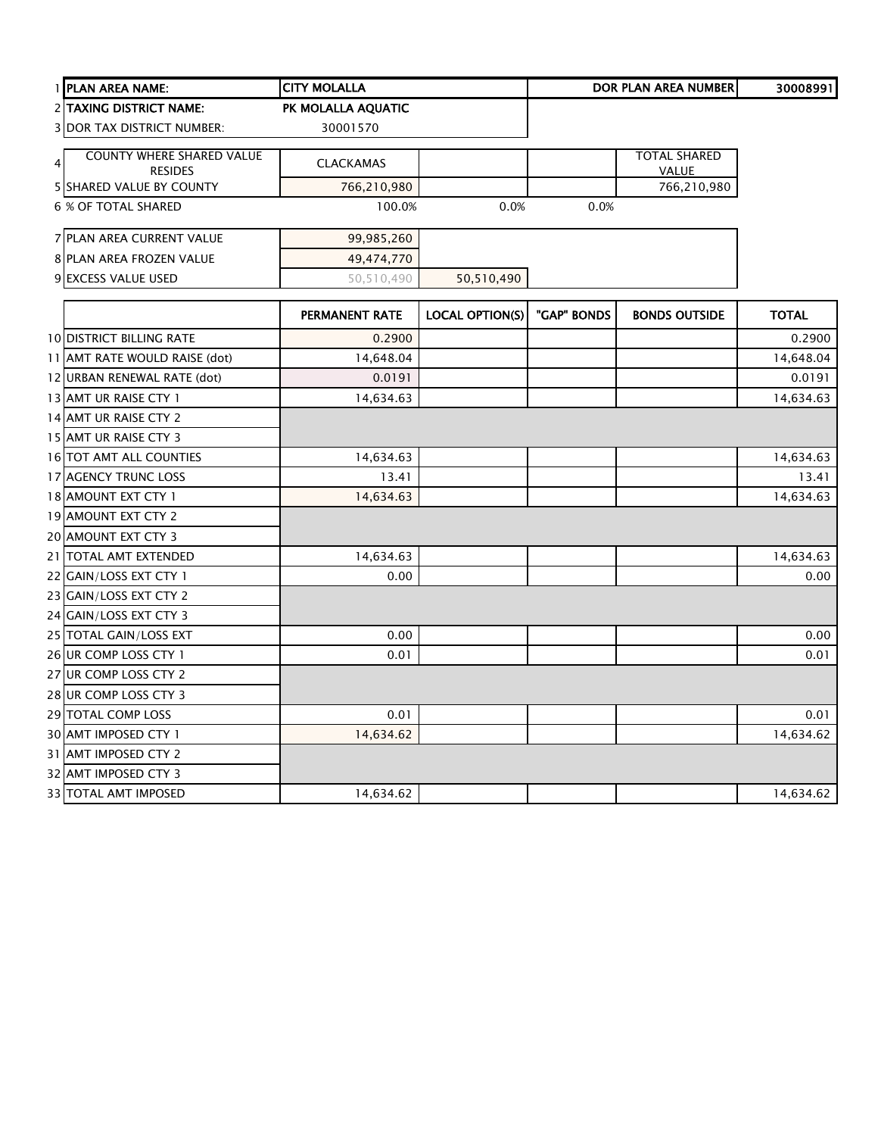| 1 PLAN AREA NAME:                 | <b>CITY MOLALLA</b>   |                        |             | <b>DOR PLAN AREA NUMBER</b> | 30008991     |
|-----------------------------------|-----------------------|------------------------|-------------|-----------------------------|--------------|
| 2 TAXING DISTRICT NAME:           | PK MOLALLA AQUATIC    |                        |             |                             |              |
| <b>3 DOR TAX DISTRICT NUMBER:</b> | 30001570              |                        |             |                             |              |
| <b>COUNTY WHERE SHARED VALUE</b>  |                       |                        |             | <b>TOTAL SHARED</b>         |              |
| 4<br><b>RESIDES</b>               | <b>CLACKAMAS</b>      |                        |             | VALUE                       |              |
| <b>5 SHARED VALUE BY COUNTY</b>   | 766,210,980           |                        |             | 766,210,980                 |              |
| <b>6 % OF TOTAL SHARED</b>        | 100.0%                | 0.0%                   | 0.0%        |                             |              |
| 7 PLAN AREA CURRENT VALUE         | 99,985,260            |                        |             |                             |              |
| 8 PLAN AREA FROZEN VALUE          | 49,474,770            |                        |             |                             |              |
| 9 EXCESS VALUE USED               | 50,510,490            | 50,510,490             |             |                             |              |
|                                   | <b>PERMANENT RATE</b> | <b>LOCAL OPTION(S)</b> | "GAP" BONDS | <b>BONDS OUTSIDE</b>        | <b>TOTAL</b> |
| <b>10 DISTRICT BILLING RATE</b>   | 0.2900                |                        |             |                             | 0.2900       |
| 11 AMT RATE WOULD RAISE (dot)     | 14,648.04             |                        |             |                             | 14,648.04    |
| 12 URBAN RENEWAL RATE (dot)       | 0.0191                |                        |             |                             | 0.0191       |
| 13 AMT UR RAISE CTY 1             | 14,634.63             |                        |             |                             | 14,634.63    |
| 14 AMT UR RAISE CTY 2             |                       |                        |             |                             |              |
| 15 AMT UR RAISE CTY 3             |                       |                        |             |                             |              |
| 16 TOT AMT ALL COUNTIES           | 14,634.63             |                        |             |                             | 14,634.63    |
| 17 AGENCY TRUNC LOSS              | 13.41                 |                        |             |                             | 13.41        |
| 18 AMOUNT EXT CTY 1               | 14,634.63             |                        |             |                             | 14,634.63    |
| 19 AMOUNT EXT CTY 2               |                       |                        |             |                             |              |
| 20 AMOUNT EXT CTY 3               |                       |                        |             |                             |              |
| 21 TOTAL AMT EXTENDED             | 14,634.63             |                        |             |                             | 14,634.63    |
| 22 GAIN/LOSS EXT CTY 1            | 0.00                  |                        |             |                             | 0.00         |
| 23 GAIN/LOSS EXT CTY 2            |                       |                        |             |                             |              |
| 24 GAIN/LOSS EXT CTY 3            |                       |                        |             |                             |              |
| 25 TOTAL GAIN/LOSS EXT            | 0.00                  |                        |             |                             | 0.00         |
| 26 UR COMP LOSS CTY 1             | 0.01                  |                        |             |                             | 0.01         |
| 27 UR COMP LOSS CTY 2             |                       |                        |             |                             |              |
| 28 UR COMP LOSS CTY 3             |                       |                        |             |                             |              |
| 29 TOTAL COMP LOSS                | 0.01                  |                        |             |                             | 0.01         |
| 30 AMT IMPOSED CTY 1              | 14,634.62             |                        |             |                             | 14,634.62    |
| 31 AMT IMPOSED CTY 2              |                       |                        |             |                             |              |
| 32 AMT IMPOSED CTY 3              |                       |                        |             |                             |              |
| 33 TOTAL AMT IMPOSED              | 14,634.62             |                        |             |                             | 14,634.62    |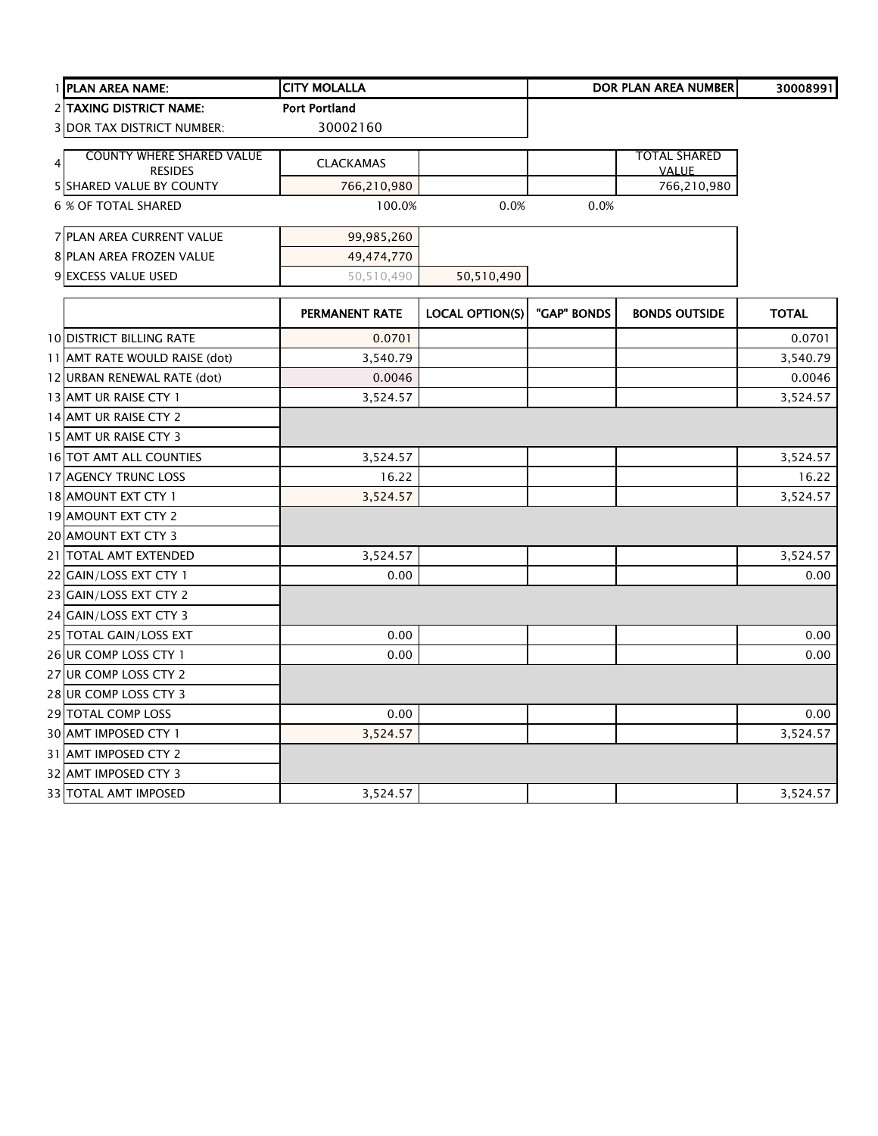| 1 PLAN AREA NAME:                 | <b>CITY MOLALLA</b>  |                        |             | <b>DOR PLAN AREA NUMBER</b> | 30008991     |
|-----------------------------------|----------------------|------------------------|-------------|-----------------------------|--------------|
| <b>2 TAXING DISTRICT NAME:</b>    | <b>Port Portland</b> |                        |             |                             |              |
| <b>3 DOR TAX DISTRICT NUMBER:</b> | 30002160             |                        |             |                             |              |
| <b>COUNTY WHERE SHARED VALUE</b>  |                      |                        |             | <b>TOTAL SHARED</b>         |              |
| $\overline{4}$<br><b>RESIDES</b>  | <b>CLACKAMAS</b>     |                        |             | <b>VALUE</b>                |              |
| <b>5 SHARED VALUE BY COUNTY</b>   | 766,210,980          |                        |             | 766,210,980                 |              |
| <b>6 % OF TOTAL SHARED</b>        | 100.0%               | 0.0%                   | 0.0%        |                             |              |
| 7 PLAN AREA CURRENT VALUE         | 99,985,260           |                        |             |                             |              |
| 8 PLAN AREA FROZEN VALUE          | 49,474,770           |                        |             |                             |              |
| 9 EXCESS VALUE USED               | 50,510,490           | 50,510,490             |             |                             |              |
|                                   | PERMANENT RATE       | <b>LOCAL OPTION(S)</b> | "GAP" BONDS | <b>BONDS OUTSIDE</b>        | <b>TOTAL</b> |
| <b>10 DISTRICT BILLING RATE</b>   | 0.0701               |                        |             |                             | 0.0701       |
| 11 AMT RATE WOULD RAISE (dot)     | 3,540.79             |                        |             |                             | 3,540.79     |
| 12 URBAN RENEWAL RATE (dot)       | 0.0046               |                        |             |                             | 0.0046       |
| 13 AMT UR RAISE CTY 1             | 3,524.57             |                        |             |                             | 3,524.57     |
| 14 AMT UR RAISE CTY 2             |                      |                        |             |                             |              |
| 15 AMT UR RAISE CTY 3             |                      |                        |             |                             |              |
| 16 TOT AMT ALL COUNTIES           | 3,524.57             |                        |             |                             | 3,524.57     |
| 17 AGENCY TRUNC LOSS              | 16.22                |                        |             |                             | 16.22        |
| 18 AMOUNT EXT CTY 1               | 3,524.57             |                        |             |                             | 3,524.57     |
| 19 AMOUNT EXT CTY 2               |                      |                        |             |                             |              |
| 20 AMOUNT EXT CTY 3               |                      |                        |             |                             |              |
| 21 TOTAL AMT EXTENDED             | 3,524.57             |                        |             |                             | 3,524.57     |
| 22 GAIN/LOSS EXT CTY 1            | 0.00                 |                        |             |                             | 0.00         |
| 23 GAIN/LOSS EXT CTY 2            |                      |                        |             |                             |              |
| 24 GAIN/LOSS EXT CTY 3            |                      |                        |             |                             |              |
| 25 TOTAL GAIN/LOSS EXT            | 0.00                 |                        |             |                             | 0.00         |
| 26 UR COMP LOSS CTY 1             | 0.00                 |                        |             |                             | 0.00         |
| 27 UR COMP LOSS CTY 2             |                      |                        |             |                             |              |
| 28 UR COMP LOSS CTY 3             |                      |                        |             |                             |              |
| 29 TOTAL COMP LOSS                | 0.00                 |                        |             |                             | 0.00         |
| 30 AMT IMPOSED CTY 1              | 3,524.57             |                        |             |                             | 3,524.57     |
| 31 AMT IMPOSED CTY 2              |                      |                        |             |                             |              |
| 32 AMT IMPOSED CTY 3              |                      |                        |             |                             |              |
| <b>33 TOTAL AMT IMPOSED</b>       | 3,524.57             |                        |             |                             | 3,524.57     |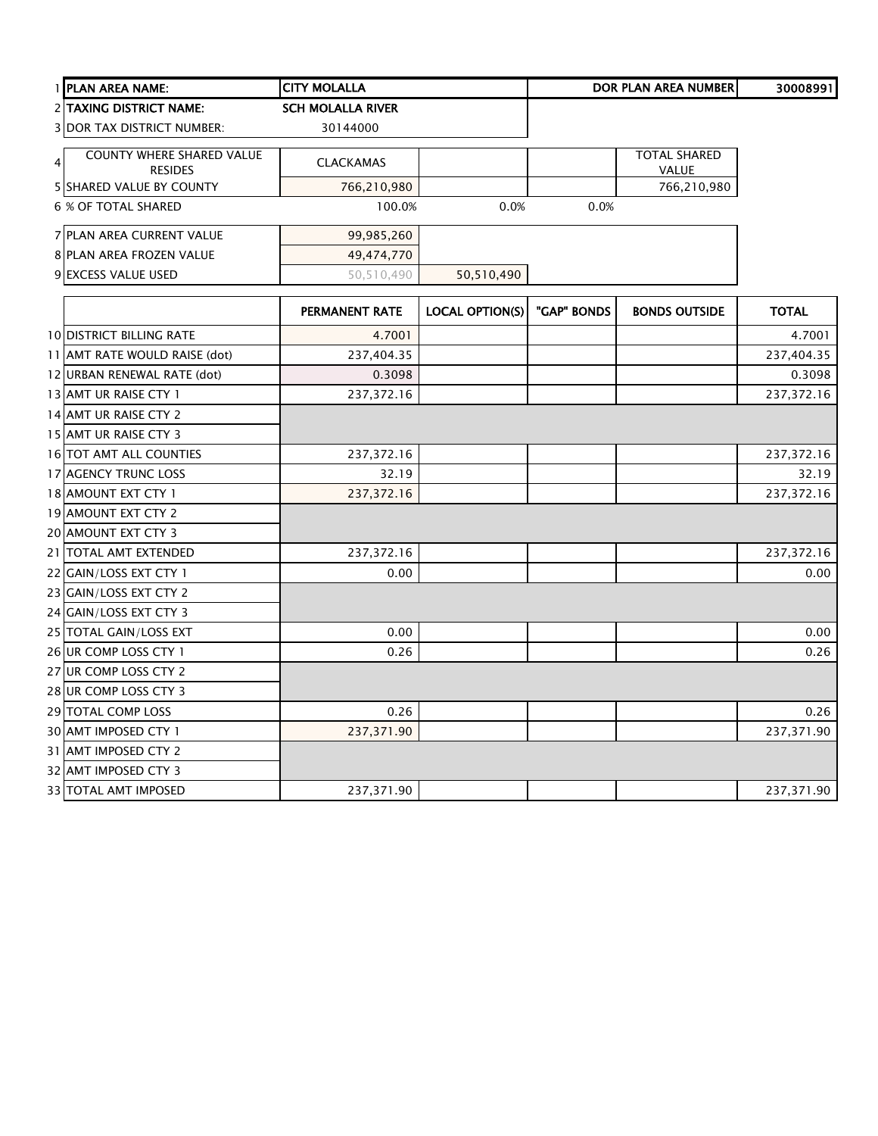| 1 PLAN AREA NAME:                 | <b>CITY MOLALLA</b>      |                        |             | DOR PLAN AREA NUMBER | 30008991     |
|-----------------------------------|--------------------------|------------------------|-------------|----------------------|--------------|
| 2 TAXING DISTRICT NAME:           | <b>SCH MOLALLA RIVER</b> |                        |             |                      |              |
| <b>3 DOR TAX DISTRICT NUMBER:</b> | 30144000                 |                        |             |                      |              |
| <b>COUNTY WHERE SHARED VALUE</b>  |                          |                        |             | <b>TOTAL SHARED</b>  |              |
| $\overline{4}$<br><b>RESIDES</b>  | <b>CLACKAMAS</b>         |                        |             | VALUE                |              |
| <b>5 SHARED VALUE BY COUNTY</b>   | 766,210,980              |                        |             | 766,210,980          |              |
| <b>6 % OF TOTAL SHARED</b>        | 100.0%                   | 0.0%                   | 0.0%        |                      |              |
| 7 PLAN AREA CURRENT VALUE         | 99,985,260               |                        |             |                      |              |
| 8 PLAN AREA FROZEN VALUE          | 49,474,770               |                        |             |                      |              |
| 9 EXCESS VALUE USED               | 50,510,490               | 50,510,490             |             |                      |              |
|                                   | PERMANENT RATE           | <b>LOCAL OPTION(S)</b> | "GAP" BONDS | <b>BONDS OUTSIDE</b> | <b>TOTAL</b> |
| <b>10 DISTRICT BILLING RATE</b>   | 4.7001                   |                        |             |                      | 4.7001       |
| 11 AMT RATE WOULD RAISE (dot)     | 237,404.35               |                        |             |                      | 237,404.35   |
| 12 URBAN RENEWAL RATE (dot)       | 0.3098                   |                        |             |                      | 0.3098       |
| 13 AMT UR RAISE CTY 1             | 237,372.16               |                        |             |                      | 237,372.16   |
| 14 AMT UR RAISE CTY 2             |                          |                        |             |                      |              |
| 15 AMT UR RAISE CTY 3             |                          |                        |             |                      |              |
| 16 TOT AMT ALL COUNTIES           | 237,372.16               |                        |             |                      | 237,372.16   |
| 17 AGENCY TRUNC LOSS              | 32.19                    |                        |             |                      | 32.19        |
| 18 AMOUNT EXT CTY 1               | 237,372.16               |                        |             |                      | 237,372.16   |
| 19 AMOUNT EXT CTY 2               |                          |                        |             |                      |              |
| 20 AMOUNT EXT CTY 3               |                          |                        |             |                      |              |
| 21 TOTAL AMT EXTENDED             | 237,372.16               |                        |             |                      | 237,372.16   |
| 22 GAIN/LOSS EXT CTY 1            | 0.00                     |                        |             |                      | 0.00         |
| 23 GAIN/LOSS EXT CTY 2            |                          |                        |             |                      |              |
| 24 GAIN/LOSS EXT CTY 3            |                          |                        |             |                      |              |
| 25 TOTAL GAIN/LOSS EXT            | 0.00                     |                        |             |                      | 0.00         |
| 26 UR COMP LOSS CTY 1             | 0.26                     |                        |             |                      | 0.26         |
| 27 UR COMP LOSS CTY 2             |                          |                        |             |                      |              |
| 28 UR COMP LOSS CTY 3             |                          |                        |             |                      |              |
| 29 TOTAL COMP LOSS                | 0.26                     |                        |             |                      | 0.26         |
| 30 AMT IMPOSED CTY 1              | 237,371.90               |                        |             |                      | 237,371.90   |
| 31 AMT IMPOSED CTY 2              |                          |                        |             |                      |              |
| 32 AMT IMPOSED CTY 3              |                          |                        |             |                      |              |
| <b>33 TOTAL AMT IMPOSED</b>       | 237,371.90               |                        |             |                      | 237,371.90   |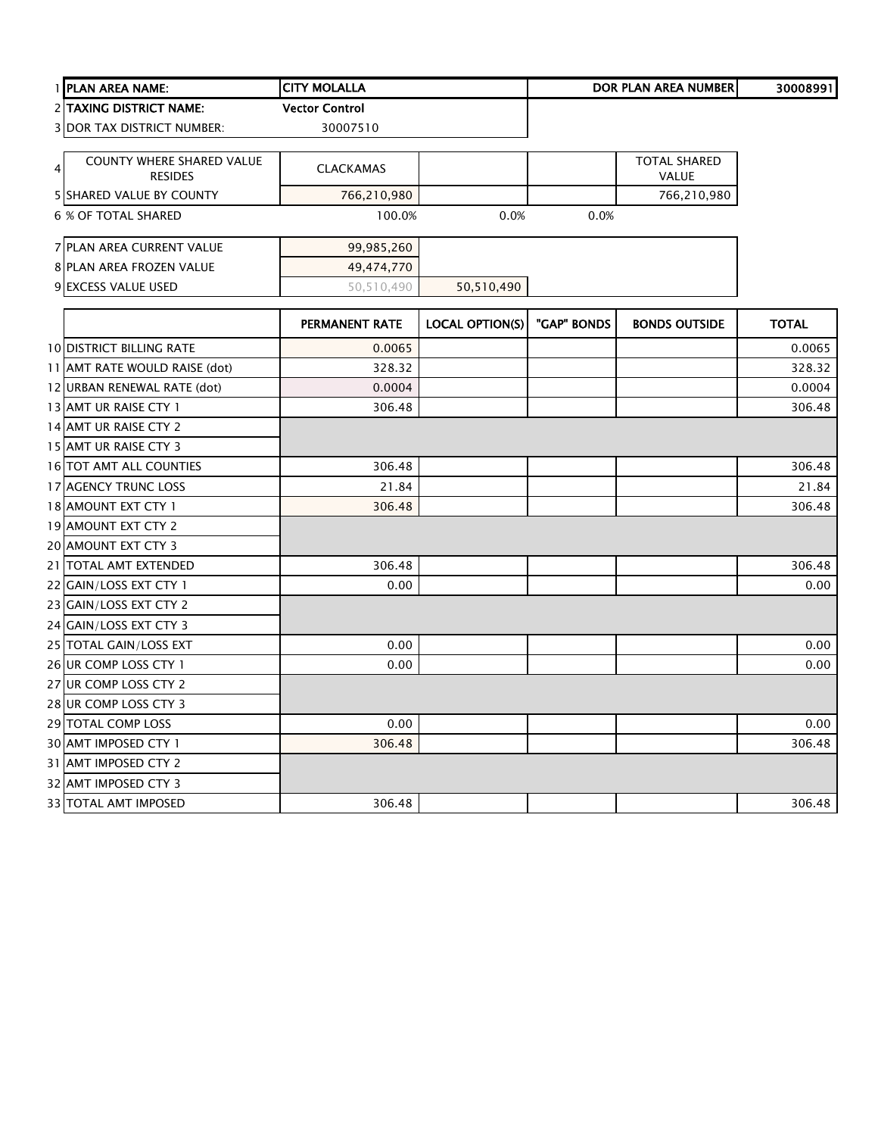| 1 PLAN AREA NAME:                                       | <b>CITY MOLALLA</b>   |                        | <b>DOR PLAN AREA NUMBER</b> |                                     | 30008991     |
|---------------------------------------------------------|-----------------------|------------------------|-----------------------------|-------------------------------------|--------------|
| 2 TAXING DISTRICT NAME:                                 | <b>Vector Control</b> |                        |                             |                                     |              |
| <b>3 DOR TAX DISTRICT NUMBER:</b>                       | 30007510              |                        |                             |                                     |              |
| <b>COUNTY WHERE SHARED VALUE</b><br>4<br><b>RESIDES</b> | <b>CLACKAMAS</b>      |                        |                             | <b>TOTAL SHARED</b><br><b>VALUE</b> |              |
| 5 SHARED VALUE BY COUNTY                                | 766,210,980           |                        |                             | 766,210,980                         |              |
| <b>6 % OF TOTAL SHARED</b>                              | 100.0%                | 0.0%                   | 0.0%                        |                                     |              |
| <b>7 PLAN AREA CURRENT VALUE</b>                        | 99,985,260            |                        |                             |                                     |              |
| 8 PLAN AREA FROZEN VALUE                                | 49,474,770            |                        |                             |                                     |              |
| 9 EXCESS VALUE USED                                     | 50,510,490            | 50,510,490             |                             |                                     |              |
|                                                         | PERMANENT RATE        | <b>LOCAL OPTION(S)</b> | "GAP" BONDS                 | <b>BONDS OUTSIDE</b>                | <b>TOTAL</b> |
| <b>10 DISTRICT BILLING RATE</b>                         | 0.0065                |                        |                             |                                     | 0.0065       |
| 11 AMT RATE WOULD RAISE (dot)                           | 328.32                |                        |                             |                                     | 328.32       |
| 12 URBAN RENEWAL RATE (dot)                             | 0.0004                |                        |                             |                                     | 0.0004       |
| 13 AMT UR RAISE CTY 1                                   | 306.48                |                        |                             |                                     | 306.48       |
| 14 AMT UR RAISE CTY 2                                   |                       |                        |                             |                                     |              |
| 15 AMT UR RAISE CTY 3                                   |                       |                        |                             |                                     |              |
| 16 TOT AMT ALL COUNTIES                                 | 306.48                |                        |                             |                                     | 306.48       |
| 17 AGENCY TRUNC LOSS                                    | 21.84                 |                        |                             |                                     | 21.84        |
| 18 AMOUNT EXT CTY 1                                     | 306.48                |                        |                             |                                     | 306.48       |
| 19 AMOUNT EXT CTY 2                                     |                       |                        |                             |                                     |              |
| 20 AMOUNT EXT CTY 3                                     |                       |                        |                             |                                     |              |
| 21 TOTAL AMT EXTENDED                                   | 306.48                |                        |                             |                                     | 306.48       |
| 22 GAIN/LOSS EXT CTY 1                                  | 0.00                  |                        |                             |                                     | 0.00         |
| 23 GAIN/LOSS EXT CTY 2                                  |                       |                        |                             |                                     |              |
| 24 GAIN/LOSS EXT CTY 3                                  |                       |                        |                             |                                     |              |
| 25 TOTAL GAIN/LOSS EXT                                  | 0.00                  |                        |                             |                                     | 0.00         |
| 26 UR COMP LOSS CTY 1                                   | 0.00                  |                        |                             |                                     | 0.00         |
| 27 UR COMP LOSS CTY 2                                   |                       |                        |                             |                                     |              |
| 28 UR COMP LOSS CTY 3                                   |                       |                        |                             |                                     |              |
| 29 TOTAL COMP LOSS                                      | 0.00                  |                        |                             |                                     | 0.00         |
| 30 AMT IMPOSED CTY 1                                    | 306.48                |                        |                             |                                     | 306.48       |
| 31 AMT IMPOSED CTY 2                                    |                       |                        |                             |                                     |              |
| 32 AMT IMPOSED CTY 3                                    |                       |                        |                             |                                     |              |
| 33 TOTAL AMT IMPOSED                                    | 306.48                |                        |                             |                                     | 306.48       |